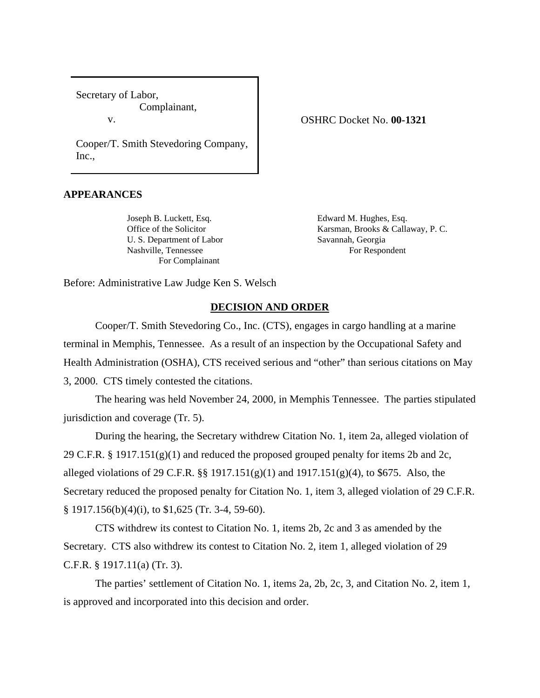Secretary of Labor, Complainant,

v.

OSHRC Docket No. **00-1321**

Cooper/T. Smith Stevedoring Company, Inc.,

## **APPEARANCES**

Joseph B. Luckett, Esq. Esq. Edward M. Hughes, Esq. U. S. Department of Labor Savannah, Georgia Nashville, Tennessee For Respondent For Complainant

Office of the Solicitor **Karsman, Brooks & Callaway, P. C.** 

Before: Administrative Law Judge Ken S. Welsch

## **DECISION AND ORDER**

Cooper/T. Smith Stevedoring Co., Inc. (CTS), engages in cargo handling at a marine terminal in Memphis, Tennessee. As a result of an inspection by the Occupational Safety and Health Administration (OSHA), CTS received serious and "other" than serious citations on May 3, 2000. CTS timely contested the citations.

The hearing was held November 24, 2000, in Memphis Tennessee. The parties stipulated jurisdiction and coverage (Tr. 5).

During the hearing, the Secretary withdrew Citation No. 1, item 2a, alleged violation of 29 C.F.R. § 1917.151 $(g)(1)$  and reduced the proposed grouped penalty for items 2b and 2c, alleged violations of 29 C.F.R. §§ 1917.151(g)(1) and 1917.151(g)(4), to \$675. Also, the Secretary reduced the proposed penalty for Citation No. 1, item 3, alleged violation of 29 C.F.R. § 1917.156(b)(4)(i), to \$1,625 (Tr. 3-4, 59-60).

CTS withdrew its contest to Citation No. 1, items 2b, 2c and 3 as amended by the Secretary. CTS also withdrew its contest to Citation No. 2, item 1, alleged violation of 29 C.F.R. § 1917.11(a) (Tr. 3).

The parties' settlement of Citation No. 1, items 2a, 2b, 2c, 3, and Citation No. 2, item 1, is approved and incorporated into this decision and order.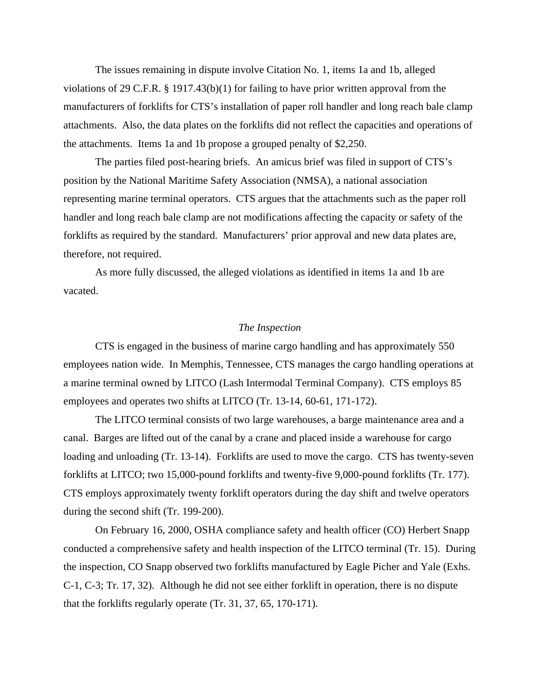The issues remaining in dispute involve Citation No. 1, items 1a and 1b, alleged violations of 29 C.F.R.  $\S$  1917.43(b)(1) for failing to have prior written approval from the manufacturers of forklifts for CTS's installation of paper roll handler and long reach bale clamp attachments. Also, the data plates on the forklifts did not reflect the capacities and operations of the attachments. Items 1a and 1b propose a grouped penalty of \$2,250.

The parties filed post-hearing briefs. An amicus brief was filed in support of CTS's position by the National Maritime Safety Association (NMSA), a national association representing marine terminal operators. CTS argues that the attachments such as the paper roll handler and long reach bale clamp are not modifications affecting the capacity or safety of the forklifts as required by the standard. Manufacturers' prior approval and new data plates are, therefore, not required.

As more fully discussed, the alleged violations as identified in items 1a and 1b are vacated.

### *The Inspection*

CTS is engaged in the business of marine cargo handling and has approximately 550 employees nation wide. In Memphis, Tennessee, CTS manages the cargo handling operations at a marine terminal owned by LITCO (Lash Intermodal Terminal Company). CTS employs 85 employees and operates two shifts at LITCO (Tr. 13-14, 60-61, 171-172).

The LITCO terminal consists of two large warehouses, a barge maintenance area and a canal. Barges are lifted out of the canal by a crane and placed inside a warehouse for cargo loading and unloading (Tr. 13-14). Forklifts are used to move the cargo. CTS has twenty-seven forklifts at LITCO; two 15,000-pound forklifts and twenty-five 9,000-pound forklifts (Tr. 177). CTS employs approximately twenty forklift operators during the day shift and twelve operators during the second shift (Tr. 199-200).

On February 16, 2000, OSHA compliance safety and health officer (CO) Herbert Snapp conducted a comprehensive safety and health inspection of the LITCO terminal (Tr. 15). During the inspection, CO Snapp observed two forklifts manufactured by Eagle Picher and Yale (Exhs. C-1, C-3; Tr. 17, 32). Although he did not see either forklift in operation, there is no dispute that the forklifts regularly operate (Tr. 31, 37, 65, 170-171).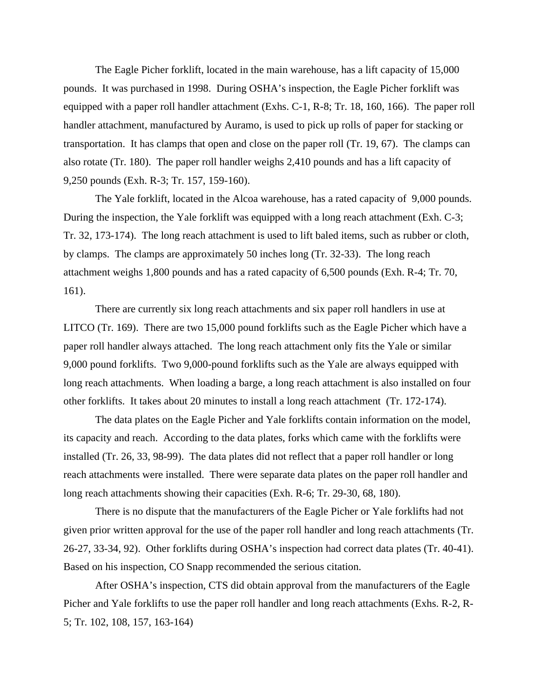The Eagle Picher forklift, located in the main warehouse, has a lift capacity of 15,000 pounds. It was purchased in 1998. During OSHA's inspection, the Eagle Picher forklift was equipped with a paper roll handler attachment (Exhs. C-1, R-8; Tr. 18, 160, 166). The paper roll handler attachment, manufactured by Auramo, is used to pick up rolls of paper for stacking or transportation. It has clamps that open and close on the paper roll (Tr. 19, 67). The clamps can also rotate (Tr. 180). The paper roll handler weighs 2,410 pounds and has a lift capacity of 9,250 pounds (Exh. R-3; Tr. 157, 159-160).

The Yale forklift, located in the Alcoa warehouse, has a rated capacity of 9,000 pounds. During the inspection, the Yale forklift was equipped with a long reach attachment (Exh. C-3; Tr. 32, 173-174). The long reach attachment is used to lift baled items, such as rubber or cloth, by clamps. The clamps are approximately 50 inches long (Tr. 32-33). The long reach attachment weighs 1,800 pounds and has a rated capacity of 6,500 pounds (Exh. R-4; Tr. 70, 161).

There are currently six long reach attachments and six paper roll handlers in use at LITCO (Tr. 169). There are two 15,000 pound forklifts such as the Eagle Picher which have a paper roll handler always attached. The long reach attachment only fits the Yale or similar 9,000 pound forklifts. Two 9,000-pound forklifts such as the Yale are always equipped with long reach attachments. When loading a barge, a long reach attachment is also installed on four other forklifts. It takes about 20 minutes to install a long reach attachment (Tr. 172-174).

The data plates on the Eagle Picher and Yale forklifts contain information on the model, its capacity and reach. According to the data plates, forks which came with the forklifts were installed (Tr. 26, 33, 98-99). The data plates did not reflect that a paper roll handler or long reach attachments were installed. There were separate data plates on the paper roll handler and long reach attachments showing their capacities (Exh. R-6; Tr. 29-30, 68, 180).

There is no dispute that the manufacturers of the Eagle Picher or Yale forklifts had not given prior written approval for the use of the paper roll handler and long reach attachments (Tr. 26-27, 33-34, 92). Other forklifts during OSHA's inspection had correct data plates (Tr. 40-41). Based on his inspection, CO Snapp recommended the serious citation.

After OSHA's inspection, CTS did obtain approval from the manufacturers of the Eagle Picher and Yale forklifts to use the paper roll handler and long reach attachments (Exhs. R-2, R-5; Tr. 102, 108, 157, 163-164)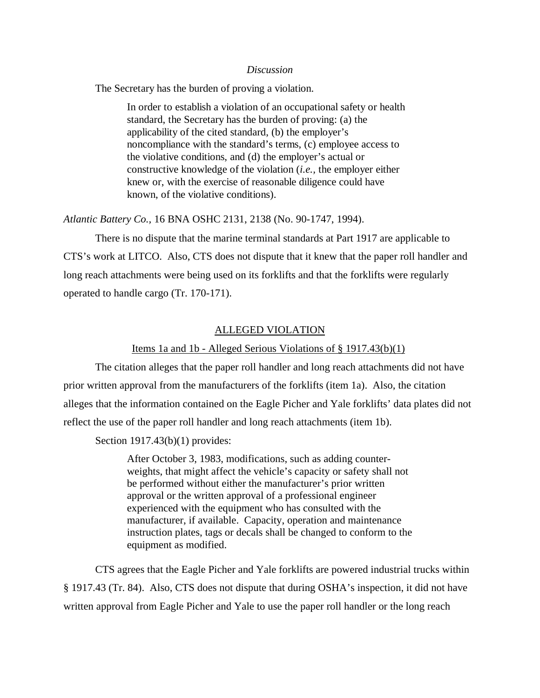#### *Discussion*

The Secretary has the burden of proving a violation.

In order to establish a violation of an occupational safety or health standard, the Secretary has the burden of proving: (a) the applicability of the cited standard, (b) the employer's noncompliance with the standard's terms, (c) employee access to the violative conditions, and (d) the employer's actual or constructive knowledge of the violation (*i.e.,* the employer either knew or, with the exercise of reasonable diligence could have known, of the violative conditions).

*Atlantic Battery Co.,* 16 BNA OSHC 2131, 2138 (No. 90-1747, 1994).

There is no dispute that the marine terminal standards at Part 1917 are applicable to CTS's work at LITCO. Also, CTS does not dispute that it knew that the paper roll handler and long reach attachments were being used on its forklifts and that the forklifts were regularly operated to handle cargo (Tr. 170-171).

### ALLEGED VIOLATION

### Items 1a and 1b - Alleged Serious Violations of § 1917.43(b)(1)

The citation alleges that the paper roll handler and long reach attachments did not have prior written approval from the manufacturers of the forklifts (item 1a). Also, the citation alleges that the information contained on the Eagle Picher and Yale forklifts' data plates did not reflect the use of the paper roll handler and long reach attachments (item 1b).

Section 1917.43(b)(1) provides:

After October 3, 1983, modifications, such as adding counterweights, that might affect the vehicle's capacity or safety shall not be performed without either the manufacturer's prior written approval or the written approval of a professional engineer experienced with the equipment who has consulted with the manufacturer, if available. Capacity, operation and maintenance instruction plates, tags or decals shall be changed to conform to the equipment as modified.

CTS agrees that the Eagle Picher and Yale forklifts are powered industrial trucks within § 1917.43 (Tr. 84). Also, CTS does not dispute that during OSHA's inspection, it did not have written approval from Eagle Picher and Yale to use the paper roll handler or the long reach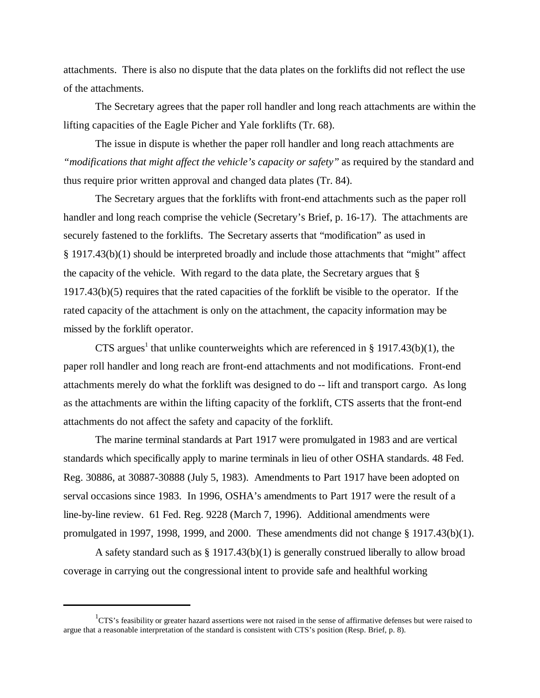attachments. There is also no dispute that the data plates on the forklifts did not reflect the use of the attachments.

The Secretary agrees that the paper roll handler and long reach attachments are within the lifting capacities of the Eagle Picher and Yale forklifts (Tr. 68).

The issue in dispute is whether the paper roll handler and long reach attachments are *"modifications that might affect the vehicle's capacity or safety"* as required by the standard and thus require prior written approval and changed data plates (Tr. 84).

The Secretary argues that the forklifts with front-end attachments such as the paper roll handler and long reach comprise the vehicle (Secretary's Brief, p. 16-17). The attachments are securely fastened to the forklifts. The Secretary asserts that "modification" as used in § 1917.43(b)(1) should be interpreted broadly and include those attachments that "might" affect the capacity of the vehicle. With regard to the data plate, the Secretary argues that § 1917.43(b)(5) requires that the rated capacities of the forklift be visible to the operator. If the rated capacity of the attachment is only on the attachment, the capacity information may be missed by the forklift operator.

CTS argues<sup>1</sup> that unlike counterweights which are referenced in § 1917.43(b)(1), the paper roll handler and long reach are front-end attachments and not modifications. Front-end attachments merely do what the forklift was designed to do -- lift and transport cargo. As long as the attachments are within the lifting capacity of the forklift, CTS asserts that the front-end attachments do not affect the safety and capacity of the forklift.

The marine terminal standards at Part 1917 were promulgated in 1983 and are vertical standards which specifically apply to marine terminals in lieu of other OSHA standards. 48 Fed. Reg. 30886, at 30887-30888 (July 5, 1983). Amendments to Part 1917 have been adopted on serval occasions since 1983. In 1996, OSHA's amendments to Part 1917 were the result of a line-by-line review. 61 Fed. Reg. 9228 (March 7, 1996). Additional amendments were promulgated in 1997, 1998, 1999, and 2000. These amendments did not change § 1917.43(b)(1).

A safety standard such as § 1917.43(b)(1) is generally construed liberally to allow broad coverage in carrying out the congressional intent to provide safe and healthful working

 ${}^{1}$ CTS's feasibility or greater hazard assertions were not raised in the sense of affirmative defenses but were raised to argue that a reasonable interpretation of the standard is consistent with CTS's position (Resp. Brief, p. 8).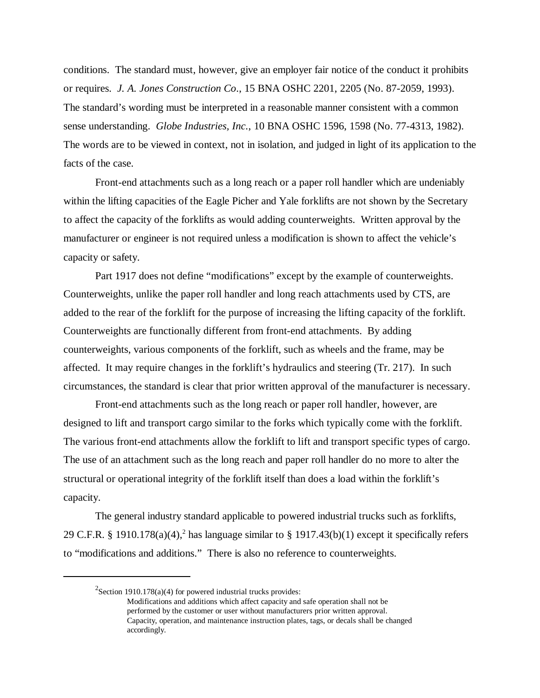conditions. The standard must, however, give an employer fair notice of the conduct it prohibits or requires. *J. A. Jones Construction Co*., 15 BNA OSHC 2201, 2205 (No. 87-2059, 1993). The standard's wording must be interpreted in a reasonable manner consistent with a common sense understanding. *Globe Industries, Inc.*, 10 BNA OSHC 1596, 1598 (No. 77-4313, 1982). The words are to be viewed in context, not in isolation, and judged in light of its application to the facts of the case.

Front-end attachments such as a long reach or a paper roll handler which are undeniably within the lifting capacities of the Eagle Picher and Yale forklifts are not shown by the Secretary to affect the capacity of the forklifts as would adding counterweights. Written approval by the manufacturer or engineer is not required unless a modification is shown to affect the vehicle's capacity or safety.

Part 1917 does not define "modifications" except by the example of counterweights. Counterweights, unlike the paper roll handler and long reach attachments used by CTS, are added to the rear of the forklift for the purpose of increasing the lifting capacity of the forklift. Counterweights are functionally different from front-end attachments. By adding counterweights, various components of the forklift, such as wheels and the frame, may be affected. It may require changes in the forklift's hydraulics and steering (Tr. 217). In such circumstances, the standard is clear that prior written approval of the manufacturer is necessary.

Front-end attachments such as the long reach or paper roll handler, however, are designed to lift and transport cargo similar to the forks which typically come with the forklift. The various front-end attachments allow the forklift to lift and transport specific types of cargo. The use of an attachment such as the long reach and paper roll handler do no more to alter the structural or operational integrity of the forklift itself than does a load within the forklift's capacity.

The general industry standard applicable to powered industrial trucks such as forklifts, 29 C.F.R. § 1910.178(a)(4),<sup>2</sup> has language similar to § 1917.43(b)(1) except it specifically refers to "modifications and additions." There is also no reference to counterweights.

 $2$ Section 1910.178(a)(4) for powered industrial trucks provides:

Modifications and additions which affect capacity and safe operation shall not be performed by the customer or user without manufacturers prior written approval. Capacity, operation, and maintenance instruction plates, tags, or decals shall be changed accordingly.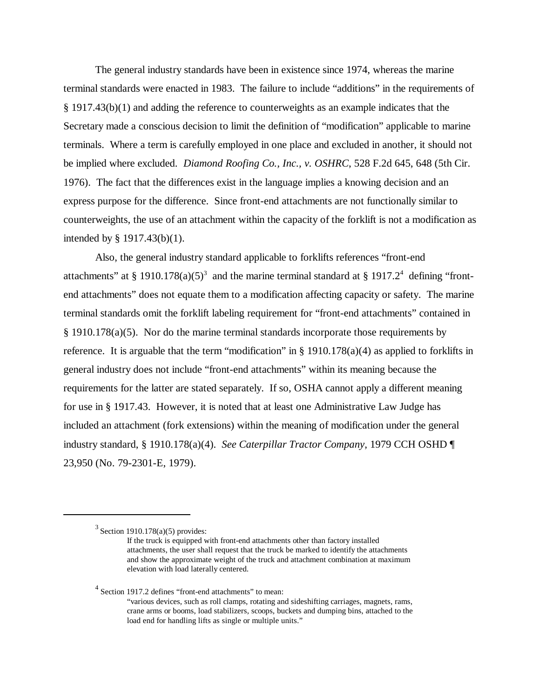The general industry standards have been in existence since 1974, whereas the marine terminal standards were enacted in 1983. The failure to include "additions" in the requirements of § 1917.43(b)(1) and adding the reference to counterweights as an example indicates that the Secretary made a conscious decision to limit the definition of "modification" applicable to marine terminals. Where a term is carefully employed in one place and excluded in another, it should not be implied where excluded. *Diamond Roofing Co., Inc., v. OSHRC*, 528 F.2d 645, 648 (5th Cir. 1976). The fact that the differences exist in the language implies a knowing decision and an express purpose for the difference. Since front-end attachments are not functionally similar to counterweights, the use of an attachment within the capacity of the forklift is not a modification as intended by § 1917.43(b)(1).

Also, the general industry standard applicable to forklifts references "front-end attachments" at § 1910.178(a)(5)<sup>3</sup> and the marine terminal standard at § 1917.2<sup>4</sup> defining "frontend attachments" does not equate them to a modification affecting capacity or safety. The marine terminal standards omit the forklift labeling requirement for "front-end attachments" contained in § 1910.178(a)(5). Nor do the marine terminal standards incorporate those requirements by reference. It is arguable that the term "modification" in  $\S$  1910.178(a)(4) as applied to forklifts in general industry does not include "front-end attachments" within its meaning because the requirements for the latter are stated separately. If so, OSHA cannot apply a different meaning for use in § 1917.43. However, it is noted that at least one Administrative Law Judge has included an attachment (fork extensions) within the meaning of modification under the general industry standard, § 1910.178(a)(4). *See Caterpillar Tractor Company*, 1979 CCH OSHD ¶ 23,950 (No. 79-2301-E, 1979).

<sup>4</sup> Section 1917.2 defines "front-end attachments" to mean:

 $3$  Section 1910.178(a)(5) provides:

If the truck is equipped with front-end attachments other than factory installed attachments, the user shall request that the truck be marked to identify the attachments and show the approximate weight of the truck and attachment combination at maximum elevation with load laterally centered.

<sup>&</sup>quot;various devices, such as roll clamps, rotating and sideshifting carriages, magnets, rams, crane arms or booms, load stabilizers, scoops, buckets and dumping bins, attached to the load end for handling lifts as single or multiple units."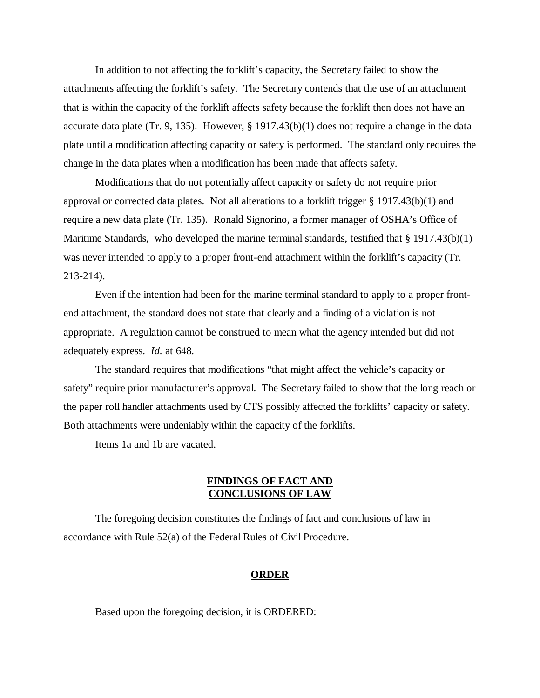In addition to not affecting the forklift's capacity, the Secretary failed to show the attachments affecting the forklift's safety. The Secretary contends that the use of an attachment that is within the capacity of the forklift affects safety because the forklift then does not have an accurate data plate (Tr. 9, 135). However, § 1917.43(b)(1) does not require a change in the data plate until a modification affecting capacity or safety is performed. The standard only requires the change in the data plates when a modification has been made that affects safety.

Modifications that do not potentially affect capacity or safety do not require prior approval or corrected data plates. Not all alterations to a forklift trigger § 1917.43(b)(1) and require a new data plate (Tr. 135). Ronald Signorino, a former manager of OSHA's Office of Maritime Standards, who developed the marine terminal standards, testified that  $\S 1917.43(b)(1)$ was never intended to apply to a proper front-end attachment within the forklift's capacity (Tr. 213-214).

Even if the intention had been for the marine terminal standard to apply to a proper frontend attachment, the standard does not state that clearly and a finding of a violation is not appropriate. A regulation cannot be construed to mean what the agency intended but did not adequately express. *Id.* at 648*.*

The standard requires that modifications "that might affect the vehicle's capacity or safety" require prior manufacturer's approval. The Secretary failed to show that the long reach or the paper roll handler attachments used by CTS possibly affected the forklifts' capacity or safety. Both attachments were undeniably within the capacity of the forklifts.

Items 1a and 1b are vacated.

## **FINDINGS OF FACT AND CONCLUSIONS OF LAW**

The foregoing decision constitutes the findings of fact and conclusions of law in accordance with Rule 52(a) of the Federal Rules of Civil Procedure.

#### **ORDER**

Based upon the foregoing decision, it is ORDERED: